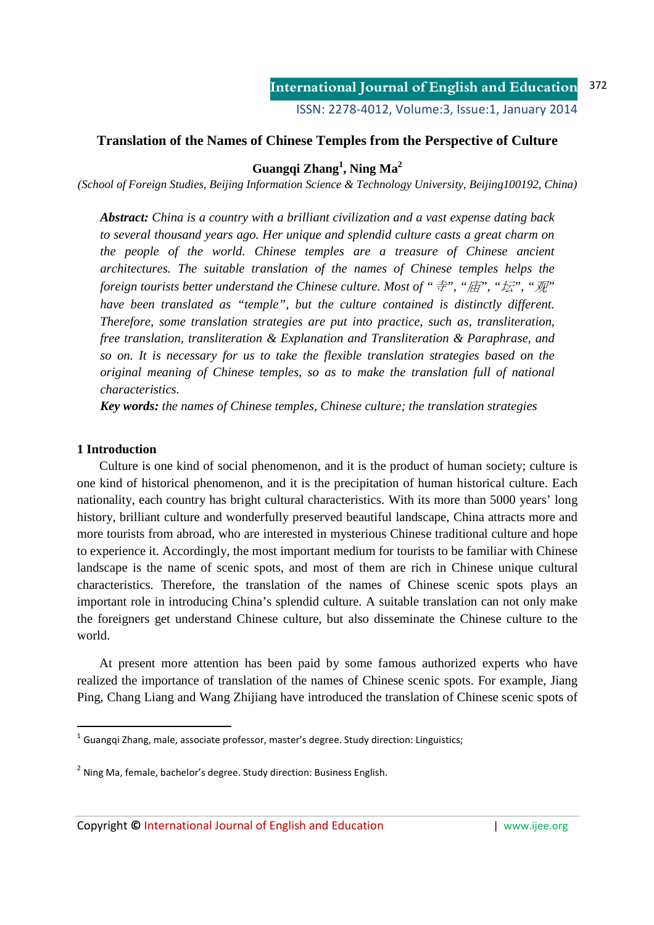## **Translation of the Names of Chinese Temples from the Perspective of Culture**

**Guangqi Zhang<sup>1</sup> , Ning Ma<sup>2</sup>**

*(School of Foreign Studies, Beijing Information Science & Technology University, Beijing100192, China)*

*Abstract: China is a country with a brilliant civilization and a vast expense dating back to several thousand years ago. Her unique and splendid culture casts a great charm on the people of the world. Chinese temples are a treasure of Chinese ancient architectures. The suitable translation of the names of Chinese temples helps the foreign tourists better understand the Chinese culture. Most of "*寺*", "*庙*", "*坛*", "*观*" have been translated as "temple", but the culture contained is distinctly different. Therefore, some translation strategies are put into practice, such as, transliteration, free translation, transliteration & Explanation and Transliteration & Paraphrase, and so on. It is necessary for us to take the flexible translation strategies based on the original meaning of Chinese temples, so as to make the translation full of national characteristics.* 

*Key words: the names of Chinese temples, Chinese culture; the translation strategies* 

#### **1 Introduction**

<u>.</u>

Culture is one kind of social phenomenon, and it is the product of human society; culture is one kind of historical phenomenon, and it is the precipitation of human historical culture. Each nationality, each country has bright cultural characteristics. With its more than 5000 years' long history, brilliant culture and wonderfully preserved beautiful landscape, China attracts more and more tourists from abroad, who are interested in mysterious Chinese traditional culture and hope to experience it. Accordingly, the most important medium for tourists to be familiar with Chinese landscape is the name of scenic spots, and most of them are rich in Chinese unique cultural characteristics. Therefore, the translation of the names of Chinese scenic spots plays an important role in introducing China's splendid culture. A suitable translation can not only make the foreigners get understand Chinese culture, but also disseminate the Chinese culture to the world.

At present more attention has been paid by some famous authorized experts who have realized the importance of translation of the names of Chinese scenic spots. For example, Jiang Ping, Chang Liang and Wang Zhijiang have introduced the translation of Chinese scenic spots of

 $^1$  Guangqi Zhang, male, associate professor, master's degree. Study direction: Linguistics;

 $^{2}$  Ning Ma, female, bachelor's degree. Study direction: Business English.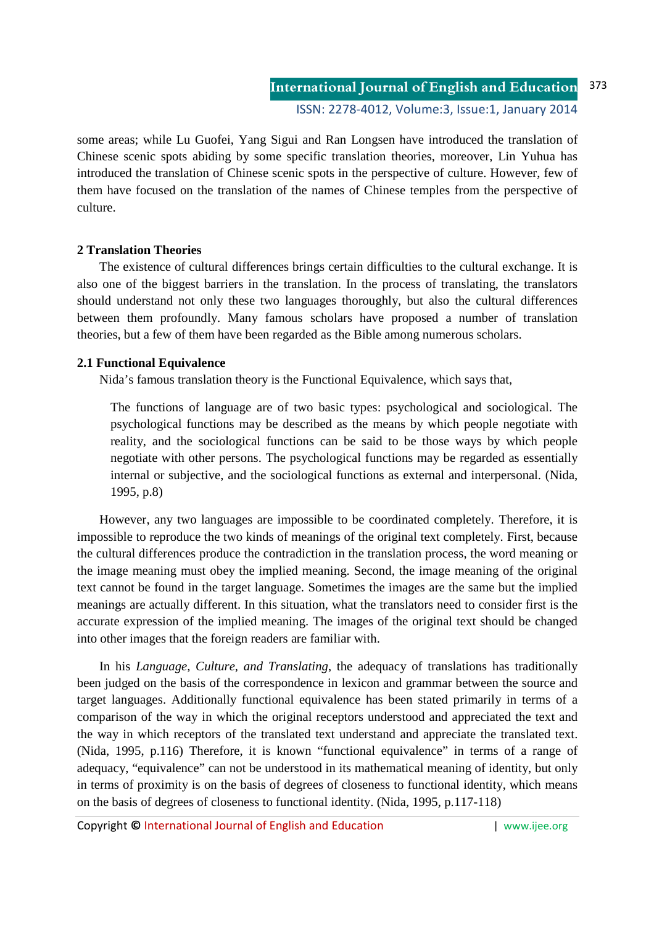some areas; while Lu Guofei, Yang Sigui and Ran Longsen have introduced the translation of Chinese scenic spots abiding by some specific translation theories, moreover, Lin Yuhua has introduced the translation of Chinese scenic spots in the perspective of culture. However, few of them have focused on the translation of the names of Chinese temples from the perspective of culture.

## **2 Translation Theories**

The existence of cultural differences brings certain difficulties to the cultural exchange. It is also one of the biggest barriers in the translation. In the process of translating, the translators should understand not only these two languages thoroughly, but also the cultural differences between them profoundly. Many famous scholars have proposed a number of translation theories, but a few of them have been regarded as the Bible among numerous scholars.

# **2.1 Functional Equivalence**

Nida's famous translation theory is the Functional Equivalence, which says that,

The functions of language are of two basic types: psychological and sociological. The psychological functions may be described as the means by which people negotiate with reality, and the sociological functions can be said to be those ways by which people negotiate with other persons. The psychological functions may be regarded as essentially internal or subjective, and the sociological functions as external and interpersonal. (Nida, 1995, p.8)

However, any two languages are impossible to be coordinated completely. Therefore, it is impossible to reproduce the two kinds of meanings of the original text completely. First, because the cultural differences produce the contradiction in the translation process, the word meaning or the image meaning must obey the implied meaning. Second, the image meaning of the original text cannot be found in the target language. Sometimes the images are the same but the implied meanings are actually different. In this situation, what the translators need to consider first is the accurate expression of the implied meaning. The images of the original text should be changed into other images that the foreign readers are familiar with.

In his *Language, Culture, and Translating*, the adequacy of translations has traditionally been judged on the basis of the correspondence in lexicon and grammar between the source and target languages. Additionally functional equivalence has been stated primarily in terms of a comparison of the way in which the original receptors understood and appreciated the text and the way in which receptors of the translated text understand and appreciate the translated text. (Nida, 1995, p.116) Therefore, it is known "functional equivalence" in terms of a range of adequacy, "equivalence" can not be understood in its mathematical meaning of identity, but only in terms of proximity is on the basis of degrees of closeness to functional identity, which means on the basis of degrees of closeness to functional identity. (Nida, 1995, p.117-118)

Copyright **©** International Journal of English and Education | www.ijee.org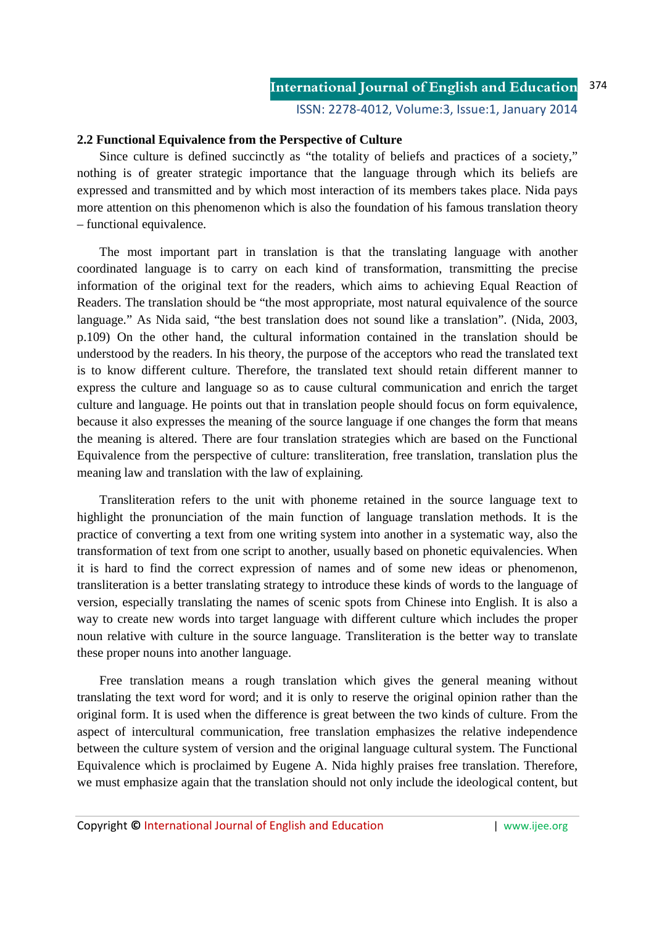#### **2.2 Functional Equivalence from the Perspective of Culture**

Since culture is defined succinctly as "the totality of beliefs and practices of a society," nothing is of greater strategic importance that the language through which its beliefs are expressed and transmitted and by which most interaction of its members takes place. Nida pays more attention on this phenomenon which is also the foundation of his famous translation theory – functional equivalence.

The most important part in translation is that the translating language with another coordinated language is to carry on each kind of transformation, transmitting the precise information of the original text for the readers, which aims to achieving Equal Reaction of Readers. The translation should be "the most appropriate, most natural equivalence of the source language." As Nida said, "the best translation does not sound like a translation". (Nida, 2003, p.109) On the other hand, the cultural information contained in the translation should be understood by the readers. In his theory, the purpose of the acceptors who read the translated text is to know different culture. Therefore, the translated text should retain different manner to express the culture and language so as to cause cultural communication and enrich the target culture and language. He points out that in translation people should focus on form equivalence, because it also expresses the meaning of the source language if one changes the form that means the meaning is altered. There are four translation strategies which are based on the Functional Equivalence from the perspective of culture: transliteration, free translation, translation plus the meaning law and translation with the law of explaining.

Transliteration refers to the unit with phoneme retained in the source language text to highlight the pronunciation of the main function of language translation methods. It is the practice of converting a text from one writing system into another in a systematic way, also the transformation of text from one script to another, usually based on phonetic equivalencies. When it is hard to find the correct expression of names and of some new ideas or phenomenon, transliteration is a better translating strategy to introduce these kinds of words to the language of version, especially translating the names of scenic spots from Chinese into English. It is also a way to create new words into target language with different culture which includes the proper noun relative with culture in the source language. Transliteration is the better way to translate these proper nouns into another language.

Free translation means a rough translation which gives the general meaning without translating the text word for word; and it is only to reserve the original opinion rather than the original form. It is used when the difference is great between the two kinds of culture. From the aspect of intercultural communication, free translation emphasizes the relative independence between the culture system of version and the original language cultural system. The Functional Equivalence which is proclaimed by Eugene A. Nida highly praises free translation. Therefore, we must emphasize again that the translation should not only include the ideological content, but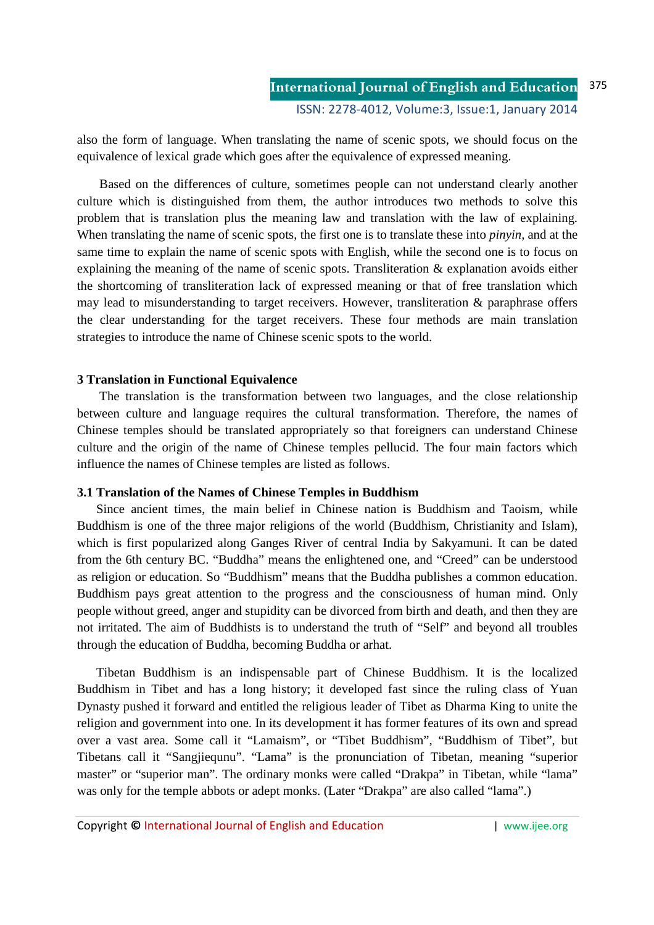also the form of language. When translating the name of scenic spots, we should focus on the equivalence of lexical grade which goes after the equivalence of expressed meaning.

Based on the differences of culture, sometimes people can not understand clearly another culture which is distinguished from them, the author introduces two methods to solve this problem that is translation plus the meaning law and translation with the law of explaining. When translating the name of scenic spots, the first one is to translate these into *pinyin,* and at the same time to explain the name of scenic spots with English, while the second one is to focus on explaining the meaning of the name of scenic spots. Transliteration & explanation avoids either the shortcoming of transliteration lack of expressed meaning or that of free translation which may lead to misunderstanding to target receivers. However, transliteration & paraphrase offers the clear understanding for the target receivers. These four methods are main translation strategies to introduce the name of Chinese scenic spots to the world.

#### **3 Translation in Functional Equivalence**

The translation is the transformation between two languages, and the close relationship between culture and language requires the cultural transformation. Therefore, the names of Chinese temples should be translated appropriately so that foreigners can understand Chinese culture and the origin of the name of Chinese temples pellucid. The four main factors which influence the names of Chinese temples are listed as follows.

#### **3.1 Translation of the Names of Chinese Temples in Buddhism**

Since ancient times, the main belief in Chinese nation is Buddhism and Taoism, while Buddhism is one of the three major religions of the world (Buddhism, Christianity and Islam), which is first popularized along Ganges River of central India by Sakyamuni. It can be dated from the 6th century BC. "Buddha" means the enlightened one, and "Creed" can be understood as religion or education. So "Buddhism" means that the Buddha publishes a common education. Buddhism pays great attention to the progress and the consciousness of human mind. Only people without greed, anger and stupidity can be divorced from birth and death, and then they are not irritated. The aim of Buddhists is to understand the truth of "Self" and beyond all troubles through the education of Buddha, becoming Buddha or arhat.

Tibetan Buddhism is an indispensable part of Chinese Buddhism. It is the localized Buddhism in Tibet and has a long history; it developed fast since the ruling class of Yuan Dynasty pushed it forward and entitled the religious leader of Tibet as Dharma King to unite the religion and government into one. In its development it has former features of its own and spread over a vast area. Some call it "Lamaism", or "Tibet Buddhism", "Buddhism of Tibet", but Tibetans call it "Sangjiequnu". "Lama" is the pronunciation of Tibetan, meaning "superior master" or "superior man". The ordinary monks were called "Drakpa" in Tibetan, while "lama" was only for the temple abbots or adept monks. (Later "Drakpa" are also called "lama".)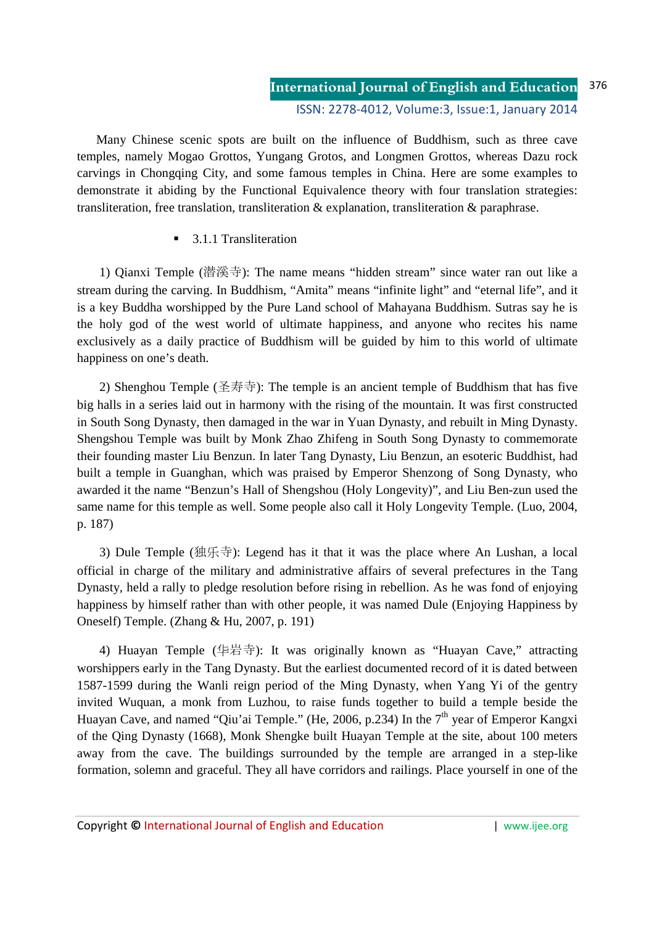Many Chinese scenic spots are built on the influence of Buddhism, such as three cave temples, namely Mogao Grottos, Yungang Grotos, and Longmen Grottos, whereas Dazu rock carvings in Chongqing City, and some famous temples in China. Here are some examples to demonstrate it abiding by the Functional Equivalence theory with four translation strategies: transliteration, free translation, transliteration & explanation, transliteration & paraphrase.

3.1.1 Transliteration

1) Qianxi Temple (潜溪寺): The name means "hidden stream" since water ran out like a stream during the carving. In Buddhism, "Amita" means "infinite light" and "eternal life", and it is a key Buddha worshipped by the Pure Land school of Mahayana Buddhism. Sutras say he is the holy god of the west world of ultimate happiness, and anyone who recites his name exclusively as a daily practice of Buddhism will be guided by him to this world of ultimate happiness on one's death.

2) Shenghou Temple (圣寿寺): The temple is an ancient temple of Buddhism that has five big halls in a series laid out in harmony with the rising of the mountain. It was first constructed in South Song Dynasty, then damaged in the war in Yuan Dynasty, and rebuilt in Ming Dynasty. Shengshou Temple was built by Monk Zhao Zhifeng in South Song Dynasty to commemorate their founding master Liu Benzun. In later Tang Dynasty, Liu Benzun, an esoteric Buddhist, had built a temple in Guanghan, which was praised by Emperor Shenzong of Song Dynasty, who awarded it the name "Benzun's Hall of Shengshou (Holy Longevity)", and Liu Ben-zun used the same name for this temple as well. Some people also call it Holy Longevity Temple. (Luo, 2004, p. 187)

3) Dule Temple (独乐寺): Legend has it that it was the place where An Lushan, a local official in charge of the military and administrative affairs of several prefectures in the Tang Dynasty, held a rally to pledge resolution before rising in rebellion. As he was fond of enjoying happiness by himself rather than with other people, it was named Dule (Enjoying Happiness by Oneself) Temple. (Zhang & Hu, 2007, p. 191)

4) Huayan Temple (华岩寺): It was originally known as "Huayan Cave," attracting worshippers early in the Tang Dynasty. But the earliest documented record of it is dated between 1587-1599 during the Wanli reign period of the Ming Dynasty, when Yang Yi of the gentry invited Wuquan, a monk from Luzhou, to raise funds together to build a temple beside the Huayan Cave, and named "Qiu'ai Temple." (He, 2006, p.234) In the 7<sup>th</sup> year of Emperor Kangxi of the Qing Dynasty (1668), Monk Shengke built Huayan Temple at the site, about 100 meters away from the cave. The buildings surrounded by the temple are arranged in a step-like formation, solemn and graceful. They all have corridors and railings. Place yourself in one of the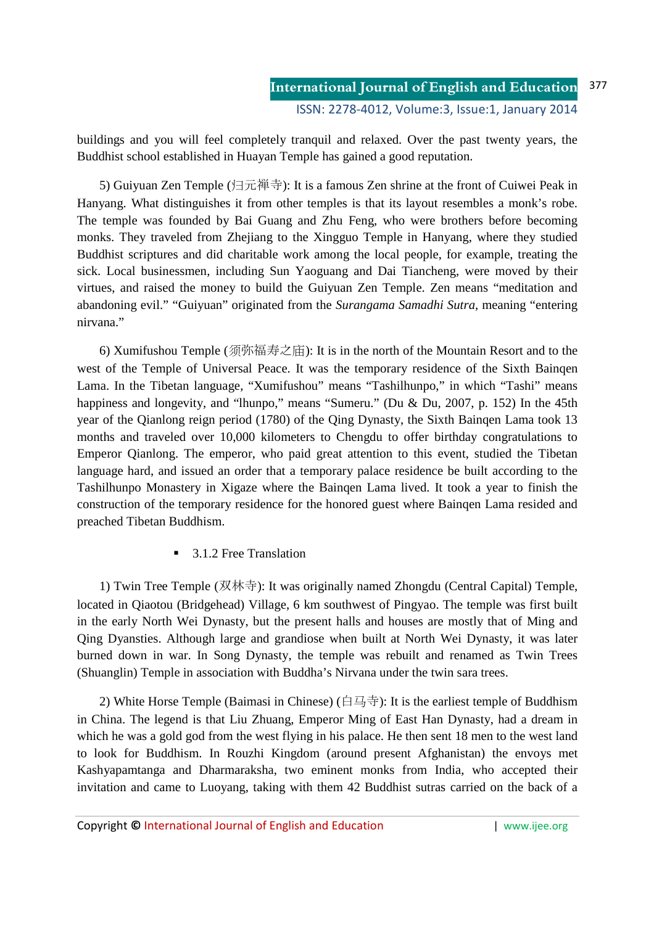buildings and you will feel completely tranquil and relaxed. Over the past twenty years, the Buddhist school established in Huayan Temple has gained a good reputation.

5) Guiyuan Zen Temple (归元禅寺): It is a famous Zen shrine at the front of Cuiwei Peak in Hanyang. What distinguishes it from other temples is that its layout resembles a monk's robe. The temple was founded by Bai Guang and Zhu Feng, who were brothers before becoming monks. They traveled from Zhejiang to the Xingguo Temple in Hanyang, where they studied Buddhist scriptures and did charitable work among the local people, for example, treating the sick. Local businessmen, including Sun Yaoguang and Dai Tiancheng, were moved by their virtues, and raised the money to build the Guiyuan Zen Temple. Zen means "meditation and abandoning evil." "Guiyuan" originated from the *Surangama Samadhi Sutra*, meaning "entering nirvana."

6) Xumifushou Temple (须弥福寿之庙): It is in the north of the Mountain Resort and to the west of the Temple of Universal Peace. It was the temporary residence of the Sixth Bainqen Lama. In the Tibetan language, "Xumifushou" means "Tashilhunpo," in which "Tashi" means happiness and longevity, and "lhunpo," means "Sumeru." (Du & Du, 2007, p. 152) In the 45th year of the Qianlong reign period (1780) of the Qing Dynasty, the Sixth Bainqen Lama took 13 months and traveled over 10,000 kilometers to Chengdu to offer birthday congratulations to Emperor Qianlong. The emperor, who paid great attention to this event, studied the Tibetan language hard, and issued an order that a temporary palace residence be built according to the Tashilhunpo Monastery in Xigaze where the Bainqen Lama lived. It took a year to finish the construction of the temporary residence for the honored guest where Bainqen Lama resided and preached Tibetan Buddhism.

■ 3.1.2 Free Translation

1) Twin Tree Temple (双林寺): It was originally named Zhongdu (Central Capital) Temple, located in Qiaotou (Bridgehead) Village, 6 km southwest of Pingyao. The temple was first built in the early North Wei Dynasty, but the present halls and houses are mostly that of Ming and Qing Dyansties. Although large and grandiose when built at North Wei Dynasty, it was later burned down in war. In Song Dynasty, the temple was rebuilt and renamed as Twin Trees (Shuanglin) Temple in association with Buddha's Nirvana under the twin sara trees.

2) White Horse Temple (Baimasi in Chinese) (白马寺): It is the earliest temple of Buddhism in China. The legend is that Liu Zhuang, Emperor Ming of East Han Dynasty, had a dream in which he was a gold god from the west flying in his palace. He then sent 18 men to the west land to look for Buddhism. In Rouzhi Kingdom (around present Afghanistan) the envoys met Kashyapamtanga and Dharmaraksha, two eminent monks from India, who accepted their invitation and came to Luoyang, taking with them 42 Buddhist sutras carried on the back of a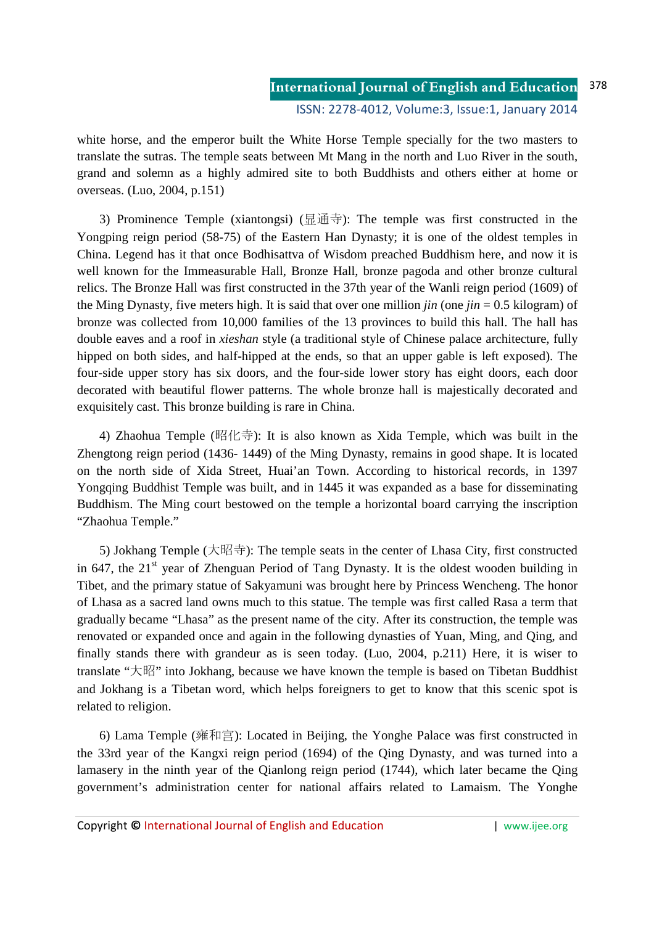white horse, and the emperor built the White Horse Temple specially for the two masters to translate the sutras. The temple seats between Mt Mang in the north and Luo River in the south, grand and solemn as a highly admired site to both Buddhists and others either at home or overseas. (Luo, 2004, p.151)

3) Prominence Temple (xiantongsi) (显通寺): The temple was first constructed in the Yongping reign period (58-75) of the Eastern Han Dynasty; it is one of the oldest temples in China. Legend has it that once Bodhisattva of Wisdom preached Buddhism here, and now it is well known for the Immeasurable Hall, Bronze Hall, bronze pagoda and other bronze cultural relics. The Bronze Hall was first constructed in the 37th year of the Wanli reign period (1609) of the Ming Dynasty, five meters high. It is said that over one million *jin* (one *jin* = 0.5 kilogram) of bronze was collected from 10,000 families of the 13 provinces to build this hall. The hall has double eaves and a roof in *xieshan* style (a traditional style of Chinese palace architecture, fully hipped on both sides, and half-hipped at the ends, so that an upper gable is left exposed). The four-side upper story has six doors, and the four-side lower story has eight doors, each door decorated with beautiful flower patterns. The whole bronze hall is majestically decorated and exquisitely cast. This bronze building is rare in China.

4) Zhaohua Temple (昭化寺): It is also known as Xida Temple, which was built in the Zhengtong reign period (1436- 1449) of the Ming Dynasty, remains in good shape. It is located on the north side of Xida Street, Huai'an Town. According to historical records, in 1397 Yongqing Buddhist Temple was built, and in 1445 it was expanded as a base for disseminating Buddhism. The Ming court bestowed on the temple a horizontal board carrying the inscription "Zhaohua Temple."

5) Jokhang Temple (大昭寺): The temple seats in the center of Lhasa City, first constructed in 647, the 21<sup>st</sup> year of Zhenguan Period of Tang Dynasty. It is the oldest wooden building in Tibet, and the primary statue of Sakyamuni was brought here by Princess Wencheng. The honor of Lhasa as a sacred land owns much to this statue. The temple was first called Rasa a term that gradually became "Lhasa" as the present name of the city. After its construction, the temple was renovated or expanded once and again in the following dynasties of Yuan, Ming, and Qing, and finally stands there with grandeur as is seen today. (Luo, 2004, p.211) Here, it is wiser to translate "大昭" into Jokhang, because we have known the temple is based on Tibetan Buddhist and Jokhang is a Tibetan word, which helps foreigners to get to know that this scenic spot is related to religion.

6) Lama Temple (雍和宫): Located in Beijing, the Yonghe Palace was first constructed in the 33rd year of the Kangxi reign period (1694) of the Qing Dynasty, and was turned into a lamasery in the ninth year of the Qianlong reign period (1744), which later became the Qing government's administration center for national affairs related to Lamaism. The Yonghe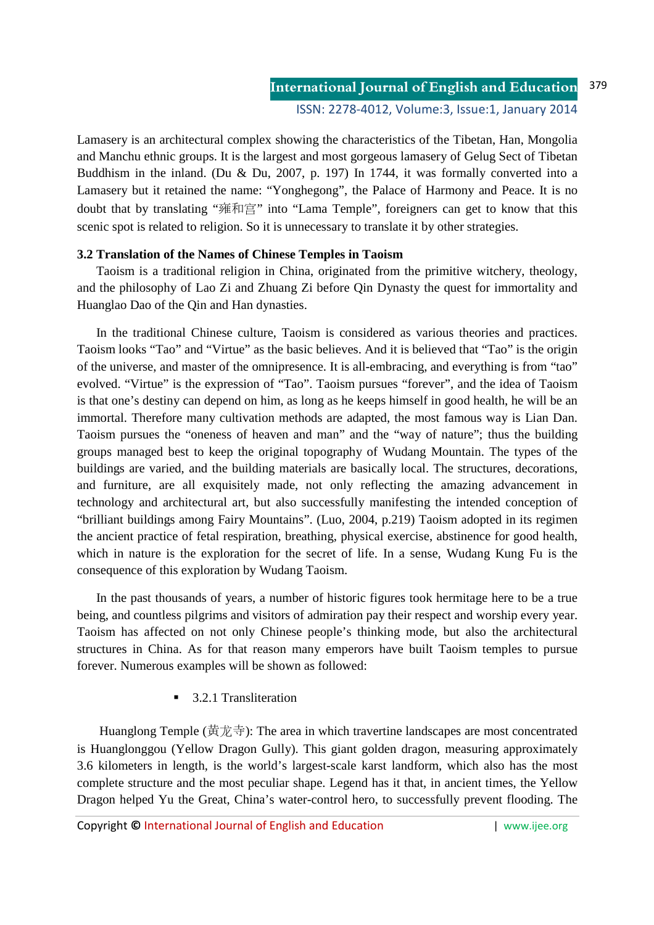Lamasery is an architectural complex showing the characteristics of the Tibetan, Han, Mongolia and Manchu ethnic groups. It is the largest and most gorgeous lamasery of Gelug Sect of Tibetan Buddhism in the inland. (Du & Du, 2007, p. 197) In 1744, it was formally converted into a Lamasery but it retained the name: "Yonghegong", the Palace of Harmony and Peace. It is no doubt that by translating "雍和宫" into "Lama Temple", foreigners can get to know that this scenic spot is related to religion. So it is unnecessary to translate it by other strategies.

### **3.2 Translation of the Names of Chinese Temples in Taoism**

Taoism is a traditional religion in China, originated from the primitive witchery, theology, and the philosophy of Lao Zi and Zhuang Zi before Qin Dynasty the quest for immortality and Huanglao Dao of the Qin and Han dynasties.

In the traditional Chinese culture, Taoism is considered as various theories and practices. Taoism looks "Tao" and "Virtue" as the basic believes. And it is believed that "Tao" is the origin of the universe, and master of the omnipresence. It is all-embracing, and everything is from "tao" evolved. "Virtue" is the expression of "Tao". Taoism pursues "forever", and the idea of Taoism is that one's destiny can depend on him, as long as he keeps himself in good health, he will be an immortal. Therefore many cultivation methods are adapted, the most famous way is Lian Dan. Taoism pursues the "oneness of heaven and man" and the "way of nature"; thus the building groups managed best to keep the original topography of Wudang Mountain. The types of the buildings are varied, and the building materials are basically local. The structures, decorations, and furniture, are all exquisitely made, not only reflecting the amazing advancement in technology and architectural art, but also successfully manifesting the intended conception of "brilliant buildings among Fairy Mountains". (Luo, 2004, p.219) Taoism adopted in its regimen the ancient practice of fetal respiration, breathing, physical exercise, abstinence for good health, which in nature is the exploration for the secret of life. In a sense, Wudang Kung Fu is the consequence of this exploration by Wudang Taoism.

In the past thousands of years, a number of historic figures took hermitage here to be a true being, and countless pilgrims and visitors of admiration pay their respect and worship every year. Taoism has affected on not only Chinese people's thinking mode, but also the architectural structures in China. As for that reason many emperors have built Taoism temples to pursue forever. Numerous examples will be shown as followed:

## ■ 3.2.1 Transliteration

Huanglong Temple (黄龙寺): The area in which travertine landscapes are most concentrated is Huanglonggou (Yellow Dragon Gully). This giant golden dragon, measuring approximately 3.6 kilometers in length, is the world's largest-scale karst landform, which also has the most complete structure and the most peculiar shape. Legend has it that, in ancient times, the Yellow Dragon helped Yu the Great, China's water-control hero, to successfully prevent flooding. The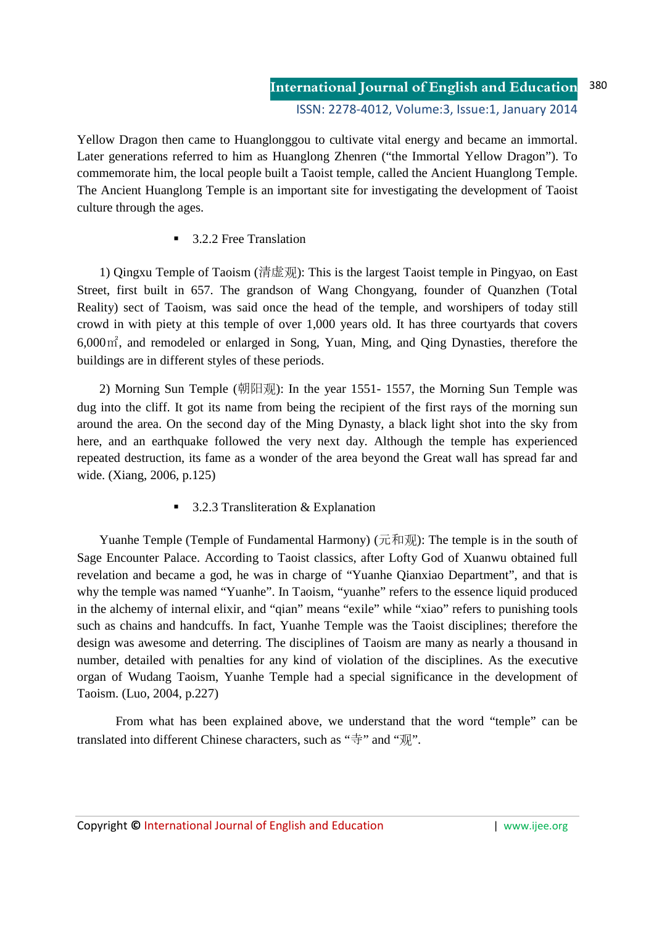Yellow Dragon then came to Huanglonggou to cultivate vital energy and became an immortal. Later generations referred to him as Huanglong Zhenren ("the Immortal Yellow Dragon"). To commemorate him, the local people built a Taoist temple, called the Ancient Huanglong Temple. The Ancient Huanglong Temple is an important site for investigating the development of Taoist culture through the ages.

■ 3.2.2 Free Translation

1) Qingxu Temple of Taoism (清虚观): This is the largest Taoist temple in Pingyao, on East Street, first built in 657. The grandson of Wang Chongyang, founder of Quanzhen (Total Reality) sect of Taoism, was said once the head of the temple, and worshipers of today still crowd in with piety at this temple of over 1,000 years old. It has three courtyards that covers 6,000㎡, and remodeled or enlarged in Song, Yuan, Ming, and Qing Dynasties, therefore the buildings are in different styles of these periods.

2) Morning Sun Temple (朝阳观): In the year 1551- 1557, the Morning Sun Temple was dug into the cliff. It got its name from being the recipient of the first rays of the morning sun around the area. On the second day of the Ming Dynasty, a black light shot into the sky from here, and an earthquake followed the very next day. Although the temple has experienced repeated destruction, its fame as a wonder of the area beyond the Great wall has spread far and wide. (Xiang, 2006, p.125)

■ 3.2.3 Transliteration & Explanation

Yuanhe Temple (Temple of Fundamental Harmony) (元和观): The temple is in the south of Sage Encounter Palace. According to Taoist classics, after Lofty God of Xuanwu obtained full revelation and became a god, he was in charge of "Yuanhe Qianxiao Department", and that is why the temple was named "Yuanhe". In Taoism, "yuanhe" refers to the essence liquid produced in the alchemy of internal elixir, and "qian" means "exile" while "xiao" refers to punishing tools such as chains and handcuffs. In fact, Yuanhe Temple was the Taoist disciplines; therefore the design was awesome and deterring. The disciplines of Taoism are many as nearly a thousand in number, detailed with penalties for any kind of violation of the disciplines. As the executive organ of Wudang Taoism, Yuanhe Temple had a special significance in the development of Taoism. (Luo, 2004, p.227)

 From what has been explained above, we understand that the word "temple" can be translated into different Chinese characters, such as "寺" and "观".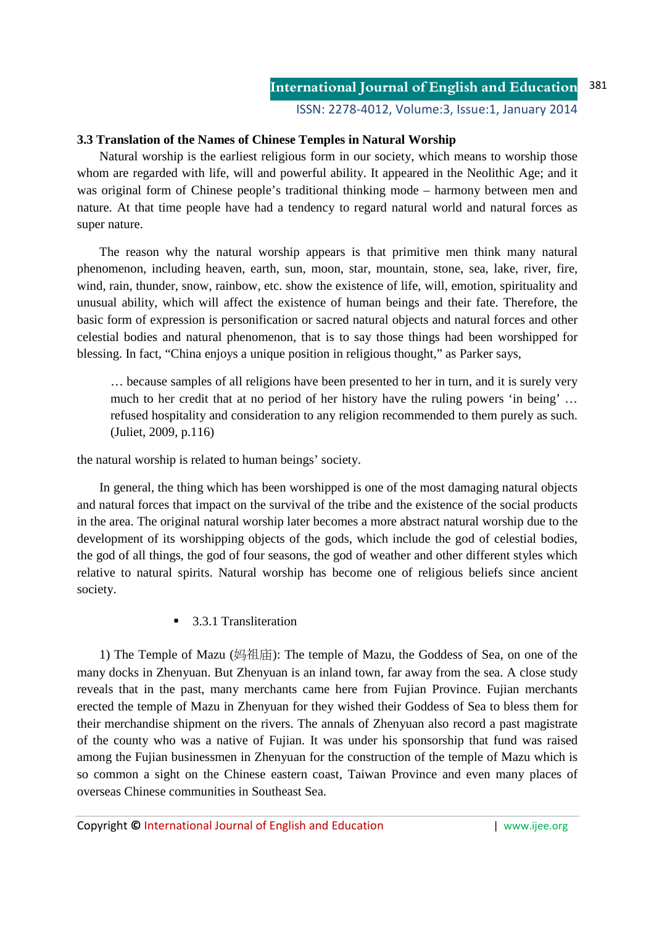## **3.3 Translation of the Names of Chinese Temples in Natural Worship**

Natural worship is the earliest religious form in our society, which means to worship those whom are regarded with life, will and powerful ability. It appeared in the Neolithic Age; and it was original form of Chinese people's traditional thinking mode – harmony between men and nature. At that time people have had a tendency to regard natural world and natural forces as super nature.

The reason why the natural worship appears is that primitive men think many natural phenomenon, including heaven, earth, sun, moon, star, mountain, stone, sea, lake, river, fire, wind, rain, thunder, snow, rainbow, etc. show the existence of life, will, emotion, spirituality and unusual ability, which will affect the existence of human beings and their fate. Therefore, the basic form of expression is personification or sacred natural objects and natural forces and other celestial bodies and natural phenomenon, that is to say those things had been worshipped for blessing. In fact, "China enjoys a unique position in religious thought," as Parker says,

… because samples of all religions have been presented to her in turn, and it is surely very much to her credit that at no period of her history have the ruling powers 'in being' … refused hospitality and consideration to any religion recommended to them purely as such. (Juliet, 2009, p.116)

the natural worship is related to human beings' society.

In general, the thing which has been worshipped is one of the most damaging natural objects and natural forces that impact on the survival of the tribe and the existence of the social products in the area. The original natural worship later becomes a more abstract natural worship due to the development of its worshipping objects of the gods, which include the god of celestial bodies, the god of all things, the god of four seasons, the god of weather and other different styles which relative to natural spirits. Natural worship has become one of religious beliefs since ancient society.

3.3.1 Transliteration

1) The Temple of Mazu (妈祖庙): The temple of Mazu, the Goddess of Sea, on one of the many docks in Zhenyuan. But Zhenyuan is an inland town, far away from the sea. A close study reveals that in the past, many merchants came here from Fujian Province. Fujian merchants erected the temple of Mazu in Zhenyuan for they wished their Goddess of Sea to bless them for their merchandise shipment on the rivers. The annals of Zhenyuan also record a past magistrate of the county who was a native of Fujian. It was under his sponsorship that fund was raised among the Fujian businessmen in Zhenyuan for the construction of the temple of Mazu which is so common a sight on the Chinese eastern coast, Taiwan Province and even many places of overseas Chinese communities in Southeast Sea.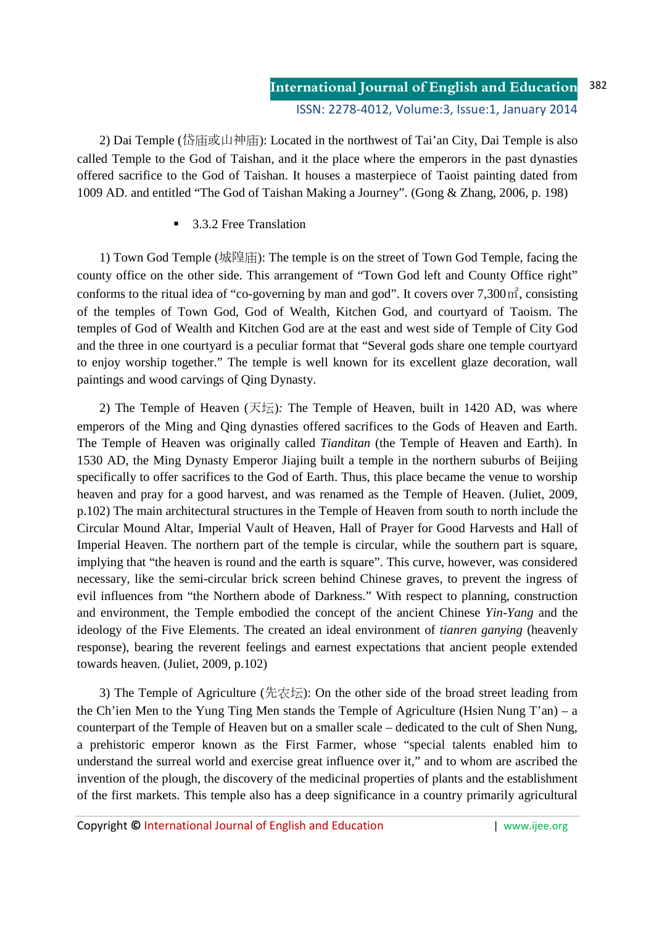2) Dai Temple (岱庙或山神庙): Located in the northwest of Tai'an City, Dai Temple is also called Temple to the God of Taishan, and it the place where the emperors in the past dynasties offered sacrifice to the God of Taishan. It houses a masterpiece of Taoist painting dated from 1009 AD. and entitled "The God of Taishan Making a Journey". (Gong & Zhang, 2006, p. 198)

# ■ 3.3.2 Free Translation

1) Town God Temple (城隍庙): The temple is on the street of Town God Temple, facing the county office on the other side. This arrangement of "Town God left and County Office right" conforms to the ritual idea of "co-governing by man and god". It covers over 7,300㎡, consisting of the temples of Town God, God of Wealth, Kitchen God, and courtyard of Taoism. The temples of God of Wealth and Kitchen God are at the east and west side of Temple of City God and the three in one courtyard is a peculiar format that "Several gods share one temple courtyard to enjoy worship together." The temple is well known for its excellent glaze decoration, wall paintings and wood carvings of Qing Dynasty.

2) The Temple of Heaven (天坛)*:* The Temple of Heaven, built in 1420 AD, was where emperors of the Ming and Qing dynasties offered sacrifices to the Gods of Heaven and Earth. The Temple of Heaven was originally called *Tianditan* (the Temple of Heaven and Earth). In 1530 AD, the Ming Dynasty Emperor Jiajing built a temple in the northern suburbs of Beijing specifically to offer sacrifices to the God of Earth. Thus, this place became the venue to worship heaven and pray for a good harvest, and was renamed as the Temple of Heaven. (Juliet, 2009, p.102) The main architectural structures in the Temple of Heaven from south to north include the Circular Mound Altar, Imperial Vault of Heaven, Hall of Prayer for Good Harvests and Hall of Imperial Heaven. The northern part of the temple is circular, while the southern part is square, implying that "the heaven is round and the earth is square". This curve, however, was considered necessary, like the semi-circular brick screen behind Chinese graves, to prevent the ingress of evil influences from "the Northern abode of Darkness." With respect to planning, construction and environment, the Temple embodied the concept of the ancient Chinese *Yin-Yang* and the ideology of the Five Elements. The created an ideal environment of *tianren ganying* (heavenly response), bearing the reverent feelings and earnest expectations that ancient people extended towards heaven. (Juliet, 2009, p.102)

3) The Temple of Agriculture (先农坛): On the other side of the broad street leading from the Ch'ien Men to the Yung Ting Men stands the Temple of Agriculture (Hsien Nung T'an) – a counterpart of the Temple of Heaven but on a smaller scale – dedicated to the cult of Shen Nung, a prehistoric emperor known as the First Farmer, whose "special talents enabled him to understand the surreal world and exercise great influence over it," and to whom are ascribed the invention of the plough, the discovery of the medicinal properties of plants and the establishment of the first markets. This temple also has a deep significance in a country primarily agricultural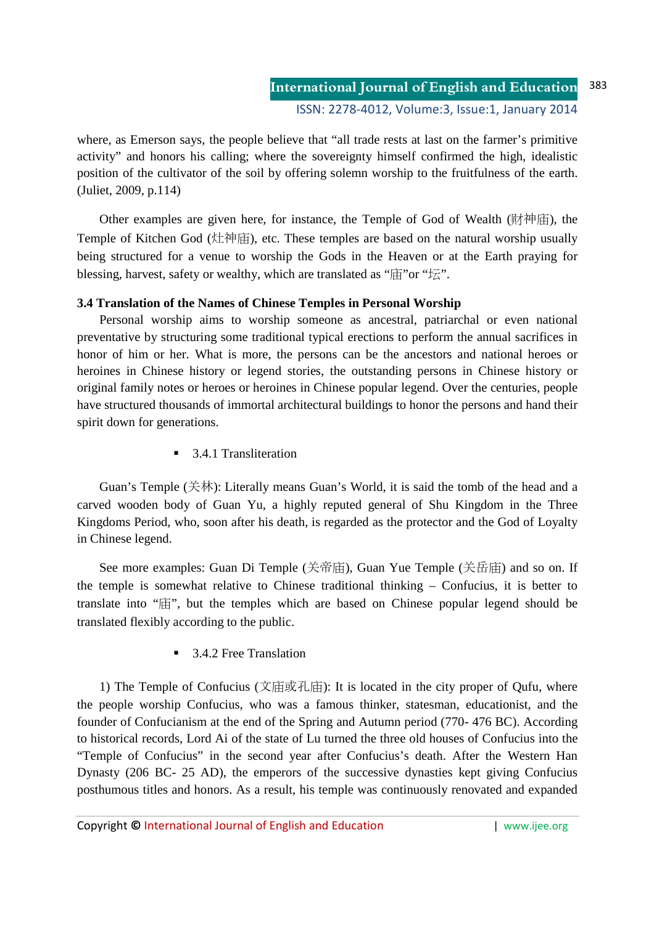where, as Emerson says, the people believe that "all trade rests at last on the farmer's primitive activity" and honors his calling; where the sovereignty himself confirmed the high, idealistic position of the cultivator of the soil by offering solemn worship to the fruitfulness of the earth. (Juliet, 2009, p.114)

Other examples are given here, for instance, the Temple of God of Wealth (财神庙), the Temple of Kitchen God (灶神庙), etc. These temples are based on the natural worship usually being structured for a venue to worship the Gods in the Heaven or at the Earth praying for blessing, harvest, safety or wealthy, which are translated as "庙"or "坛".

## **3.4 Translation of the Names of Chinese Temples in Personal Worship**

Personal worship aims to worship someone as ancestral, patriarchal or even national preventative by structuring some traditional typical erections to perform the annual sacrifices in honor of him or her. What is more, the persons can be the ancestors and national heroes or heroines in Chinese history or legend stories, the outstanding persons in Chinese history or original family notes or heroes or heroines in Chinese popular legend. Over the centuries, people have structured thousands of immortal architectural buildings to honor the persons and hand their spirit down for generations.

3.4.1 Transliteration

Guan's Temple (关林): Literally means Guan's World, it is said the tomb of the head and a carved wooden body of Guan Yu, a highly reputed general of Shu Kingdom in the Three Kingdoms Period, who, soon after his death, is regarded as the protector and the God of Loyalty in Chinese legend.

See more examples: Guan Di Temple (关帝庙), Guan Yue Temple (关岳庙) and so on. If the temple is somewhat relative to Chinese traditional thinking – Confucius, it is better to translate into "庙", but the temples which are based on Chinese popular legend should be translated flexibly according to the public.

3.4.2 Free Translation

1) The Temple of Confucius (文庙或孔庙): It is located in the city proper of Qufu, where the people worship Confucius, who was a famous thinker, statesman, educationist, and the founder of Confucianism at the end of the Spring and Autumn period (770- 476 BC). According to historical records, Lord Ai of the state of Lu turned the three old houses of Confucius into the "Temple of Confucius" in the second year after Confucius's death. After the Western Han Dynasty (206 BC- 25 AD), the emperors of the successive dynasties kept giving Confucius posthumous titles and honors. As a result, his temple was continuously renovated and expanded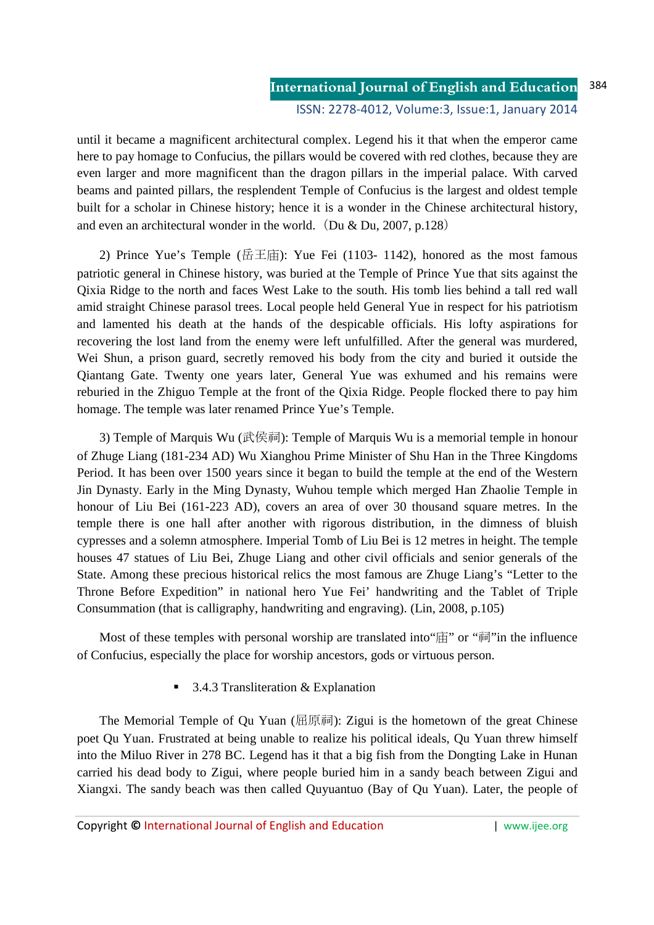until it became a magnificent architectural complex. Legend his it that when the emperor came here to pay homage to Confucius, the pillars would be covered with red clothes, because they are even larger and more magnificent than the dragon pillars in the imperial palace. With carved beams and painted pillars, the resplendent Temple of Confucius is the largest and oldest temple built for a scholar in Chinese history; hence it is a wonder in the Chinese architectural history, and even an architectural wonder in the world. (Du & Du, 2007, p.128)

2) Prince Yue's Temple (岳王庙): Yue Fei (1103- 1142), honored as the most famous patriotic general in Chinese history, was buried at the Temple of Prince Yue that sits against the Qixia Ridge to the north and faces West Lake to the south. His tomb lies behind a tall red wall amid straight Chinese parasol trees. Local people held General Yue in respect for his patriotism and lamented his death at the hands of the despicable officials. His lofty aspirations for recovering the lost land from the enemy were left unfulfilled. After the general was murdered, Wei Shun, a prison guard, secretly removed his body from the city and buried it outside the Qiantang Gate. Twenty one years later, General Yue was exhumed and his remains were reburied in the Zhiguo Temple at the front of the Qixia Ridge. People flocked there to pay him homage. The temple was later renamed Prince Yue's Temple.

3) Temple of Marquis Wu (武侯祠): Temple of Marquis Wu is a memorial temple in honour of Zhuge Liang (181-234 AD) Wu Xianghou Prime Minister of Shu Han in the Three Kingdoms Period. It has been over 1500 years since it began to build the temple at the end of the Western Jin Dynasty. Early in the Ming Dynasty, Wuhou temple which merged Han Zhaolie Temple in honour of Liu Bei (161-223 AD), covers an area of over 30 thousand square metres. In the temple there is one hall after another with rigorous distribution, in the dimness of bluish cypresses and a solemn atmosphere. Imperial Tomb of Liu Bei is 12 metres in height. The temple houses 47 statues of Liu Bei, Zhuge Liang and other civil officials and senior generals of the State. Among these precious historical relics the most famous are Zhuge Liang's "Letter to the Throne Before Expedition" in national hero Yue Fei' handwriting and the Tablet of Triple Consummation (that is calligraphy, handwriting and engraving). (Lin, 2008, p.105)

Most of these temples with personal worship are translated into "庙" or "祠" in the influence of Confucius, especially the place for worship ancestors, gods or virtuous person.

 $\blacksquare$  3.4.3 Transliteration & Explanation

The Memorial Temple of Qu Yuan (屈原祠): Zigui is the hometown of the great Chinese poet Qu Yuan. Frustrated at being unable to realize his political ideals, Qu Yuan threw himself into the Miluo River in 278 BC. Legend has it that a big fish from the Dongting Lake in Hunan carried his dead body to Zigui, where people buried him in a sandy beach between Zigui and Xiangxi. The sandy beach was then called Quyuantuo (Bay of Qu Yuan). Later, the people of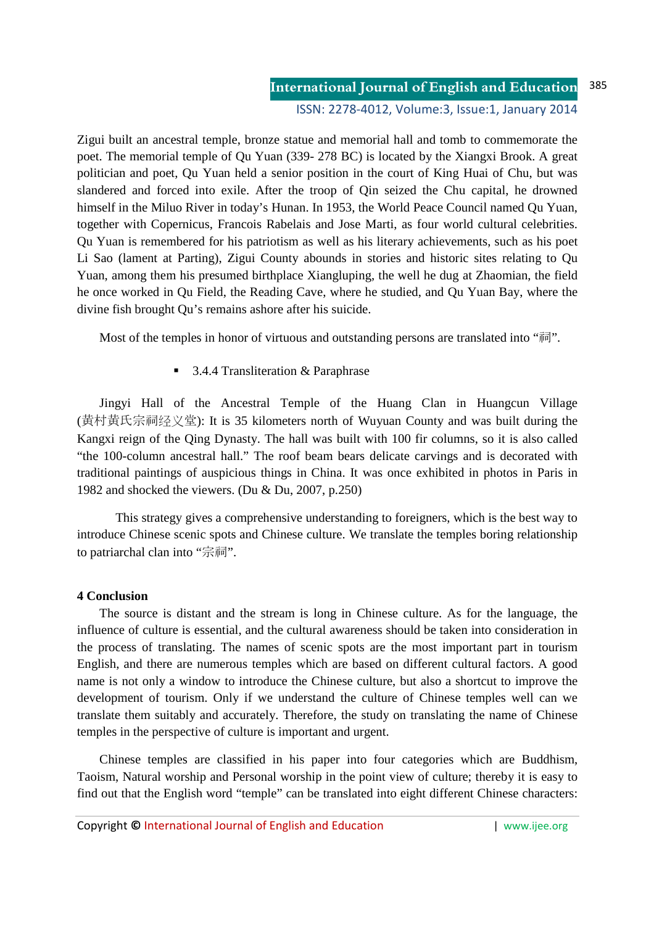Zigui built an ancestral temple, bronze statue and memorial hall and tomb to commemorate the poet. The memorial temple of Qu Yuan (339- 278 BC) is located by the Xiangxi Brook. A great politician and poet, Qu Yuan held a senior position in the court of King Huai of Chu, but was slandered and forced into exile. After the troop of Qin seized the Chu capital, he drowned himself in the Miluo River in today's Hunan. In 1953, the World Peace Council named Qu Yuan, together with Copernicus, Francois Rabelais and Jose Marti, as four world cultural celebrities. Qu Yuan is remembered for his patriotism as well as his literary achievements, such as his poet Li Sao (lament at Parting), Zigui County abounds in stories and historic sites relating to Qu Yuan, among them his presumed birthplace Xiangluping, the well he dug at Zhaomian, the field he once worked in Qu Field, the Reading Cave, where he studied, and Qu Yuan Bay, where the divine fish brought Qu's remains ashore after his suicide.

Most of the temples in honor of virtuous and outstanding persons are translated into "祠".

■ 3.4.4 Transliteration & Paraphrase

Jingyi Hall of the Ancestral Temple of the Huang Clan in Huangcun Village (黄村黄氏宗祠经义堂): It is 35 kilometers north of Wuyuan County and was built during the Kangxi reign of the Qing Dynasty. The hall was built with 100 fir columns, so it is also called "the 100-column ancestral hall." The roof beam bears delicate carvings and is decorated with traditional paintings of auspicious things in China. It was once exhibited in photos in Paris in 1982 and shocked the viewers. (Du & Du, 2007, p.250)

 This strategy gives a comprehensive understanding to foreigners, which is the best way to introduce Chinese scenic spots and Chinese culture. We translate the temples boring relationship to patriarchal clan into "宗祠".

## **4 Conclusion**

The source is distant and the stream is long in Chinese culture. As for the language, the influence of culture is essential, and the cultural awareness should be taken into consideration in the process of translating. The names of scenic spots are the most important part in tourism English, and there are numerous temples which are based on different cultural factors. A good name is not only a window to introduce the Chinese culture, but also a shortcut to improve the development of tourism. Only if we understand the culture of Chinese temples well can we translate them suitably and accurately. Therefore, the study on translating the name of Chinese temples in the perspective of culture is important and urgent.

Chinese temples are classified in his paper into four categories which are Buddhism, Taoism, Natural worship and Personal worship in the point view of culture; thereby it is easy to find out that the English word "temple" can be translated into eight different Chinese characters: